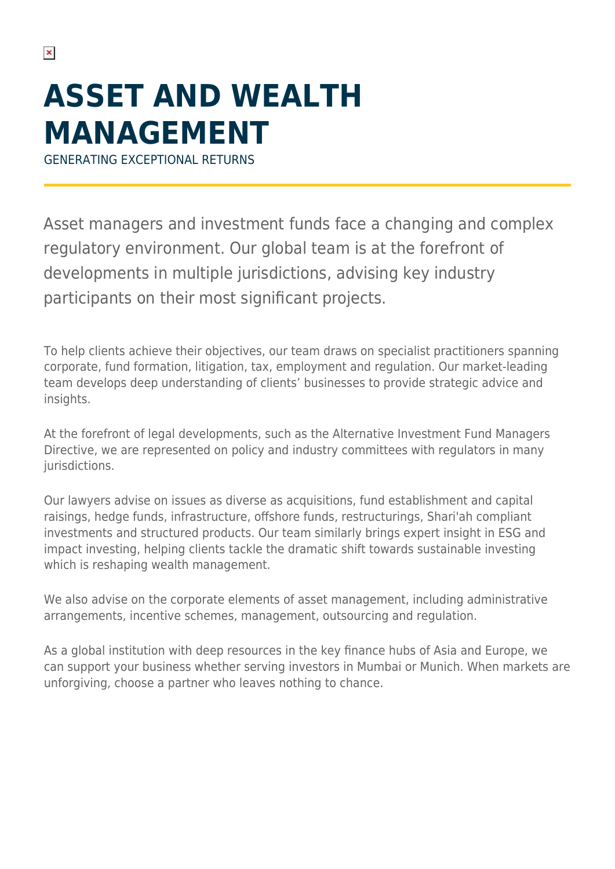## **ASSET AND WEALTH MANAGEMENT**

GENERATING EXCEPTIONAL RETURNS

Asset managers and investment funds face a changing and complex regulatory environment. Our global team is at the forefront of developments in multiple jurisdictions, advising key industry participants on their most significant projects.

To help clients achieve their objectives, our team draws on specialist practitioners spanning corporate, fund formation, litigation, tax, employment and regulation. Our market-leading team develops deep understanding of clients' businesses to provide strategic advice and insights.

At the forefront of legal developments, such as the Alternative Investment Fund Managers Directive, we are represented on policy and industry committees with regulators in many jurisdictions.

Our lawyers advise on issues as diverse as acquisitions, fund establishment and capital raisings, hedge funds, infrastructure, offshore funds, restructurings, Shari'ah compliant investments and structured products. Our team similarly brings expert insight in ESG and impact investing, helping clients tackle the dramatic shift towards sustainable investing which is reshaping wealth management.

We also advise on the corporate elements of asset management, including administrative arrangements, incentive schemes, management, outsourcing and regulation.

As a global institution with deep resources in the key finance hubs of Asia and Europe, we can support your business whether serving investors in Mumbai or Munich. When markets are unforgiving, choose a partner who leaves nothing to chance.